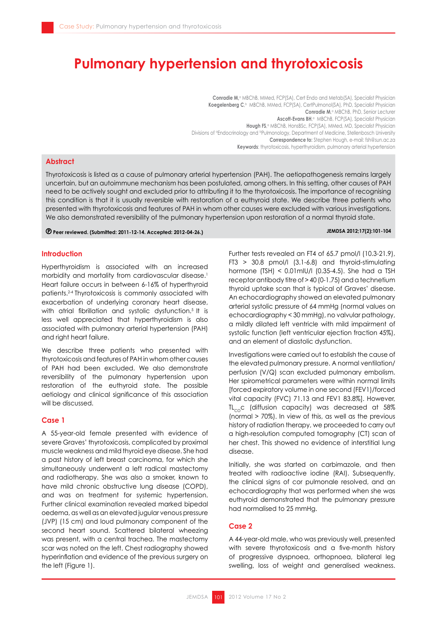# **Pulmonary hypertension and thyrotoxicosis**

**Conradie M,<sup>a</sup> MBChB, MMed, FCP(SA), Cert Endo and Metab(SA), Specialist Physician Koegelenberg C**, MBChB, MMed, FCP(SA), CertPulmonol(SA), PhD, Specialist Physician **Conradie M, ABChB, PhD, Senior Lecturer Ascott-Evans BH**,<sup>a</sup> MBChB, FCP(SA), Specialist Physician **Hough FS**,<sup>*a*</sup> MBChB, HonsBSc, FCP(SA), MMed, MD, Specialist Physician Divisions of <sup>o</sup>Endocrinology and <sup>b</sup>Pulmonology, Department of Medicine, Stellenbosch University **Correspondence to:** Stephen Hough, e-mail: fsh@sun.ac.za **Keywords**: thyrotoxicosis, hyperthyroidism, pulmonary arterial hypertension

# **Abstract**

Thyrotoxicosis is listed as a cause of pulmonary arterial hypertension (PAH). The aetiopathogenesis remains largely uncertain, but an autoimmune mechanism has been postulated, among others. In this setting, other causes of PAH need to be actively sought and excluded prior to attributing it to the thyrotoxicosis. The importance of recognising this condition is that it is usually reversible with restoration of a euthyroid state. We describe three patients who presented with thyrotoxicosis and features of PAH in whom other causes were excluded with various investigations. We also demonstrated reversibility of the pulmonary hypertension upon restoration of a normal thyroid state.

### **Peer reviewed. (Submitted: 2011-12-14. Accepted: 2012-04-26.) JEMDSA 2012;17(2):101-104**

# **Introduction**

Hyperthyroidism is associated with an increased morbidity and mortality from cardiovascular disease.<sup>1</sup> Heart failure occurs in between 6-16% of hyperthyroid patients.2-4 Thyrotoxicosis is commonly associated with exacerbation of underlying coronary heart disease, with atrial fibrillation and systolic dysfunction.<sup>5</sup> It is less well appreciated that hyperthyroidism is also associated with pulmonary arterial hypertension (PAH) and right heart failure.

We describe three patients who presented with thyrotoxicosis and features of PAH in whom other causes of PAH had been excluded. We also demonstrate reversibility of the pulmonary hypertension upon restoration of the euthyroid state. The possible aetiology and clinical significance of this association will be discussed.

# **Case 1**

A 55-year-old female presented with evidence of severe Graves' thyrotoxicosis, complicated by proximal muscle weakness and mild thyroid eye disease. She had a past history of left breast carcinoma, for which she simultaneously underwent a left radical mastectomy and radiotherapy. She was also a smoker, known to have mild chronic obstructive lung disease (COPD), and was on treatment for systemic hypertension. Further clinical examination revealed marked bipedal oedema, as well as an elevated jugular venous pressure (JVP) (15 cm) and loud pulmonary component of the second heart sound. Scattered bilateral wheezing was present, with a central trachea. The mastectomy scar was noted on the left. Chest radiography showed hyperinflation and evidence of the previous surgery on the left (Figure 1).

Further tests revealed an FT4 of 65.7 pmol/l (10.3-21.9), FT3 > 30.8 pmol/l (3.1-6.8) and thyroid-stimulating hormone (TSH) < 0.01mIU/l (0.35-4.5). She had a TSH receptor antibody titre of > 40 (0-1.75) and a technetium thyroid uptake scan that is typical of Graves' disease. An echocardiography showed an elevated pulmonary arterial systolic pressure of 64 mmHg (normal values on echocardiography < 30 mmHg), no valvular pathology, a mildly dilated left ventricle with mild impairment of systolic function (left ventricular ejection fraction 45%), and an element of diastolic dysfunction.

Investigations were carried out to establish the cause of the elevated pulmonary pressure. A normal ventilation/ perfusion (V/Q) scan excluded pulmonary embolism. Her spirometrical parameters were within normal limits [forced expiratory volume in one second (FEV1)/forced vital capacity (FVC) 71.13 and FEV1 83.8%]. However,  $TL<sub>co</sub>c$  (diffusion capacity) was decreased at 58% (normal > 70%). In view of this, as well as the previous history of radiation therapy, we proceeded to carry out a high-resolution computed tomography (CT) scan of her chest. This showed no evidence of interstitial lung disease.

Initially, she was started on carbimazole, and then treated with radioactive iodine (RAI). Subsequently, the clinical signs of cor pulmonale resolved, and an echocardiography that was performed when she was euthyroid demonstrated that the pulmonary pressure had normalised to 25 mmHg.

# **Case 2**

A 44-year-old male, who was previously well, presented with severe thyrotoxicosis and a five-month history of progressive dyspnoea, orthopnoea, bilateral leg swelling, loss of weight and generalised weakness.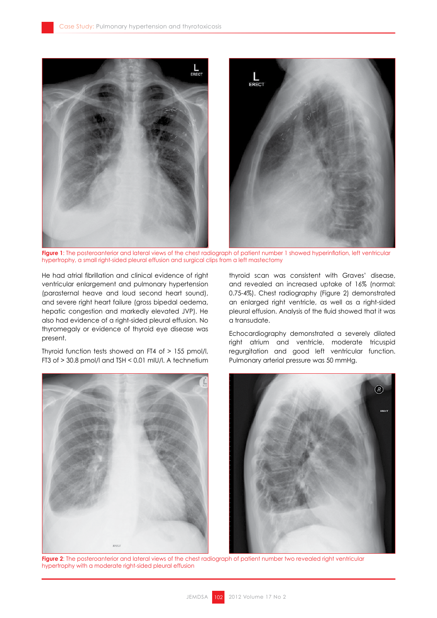

**Figure 1**: The posteroanterior and lateral views of the chest radiograph of patient number 1 showed hyperinflation, left ventricular hypertrophy, a small right-sided pleural effusion and surgical clips from a left mastectomy

He had atrial fibrillation and clinical evidence of right ventricular enlargement and pulmonary hypertension (parasternal heave and loud second heart sound), and severe right heart failure (gross bipedal oedema, hepatic congestion and markedly elevated JVP). He also had evidence of a right-sided pleural effusion. No thyromegaly or evidence of thyroid eye disease was present.

Thyroid function tests showed an FT4 of > 155 pmol/l, FT3 of > 30.8 pmol/l and TSH < 0.01 mIU/l. A technetium thyroid scan was consistent with Graves' disease, and revealed an increased uptake of 16% (normal: 0.75-4%). Chest radiography (Figure 2) demonstrated an enlarged right ventricle, as well as a right-sided pleural effusion. Analysis of the fluid showed that it was a transudate.

Echocardiography demonstrated a severely dilated right atrium and ventricle, moderate tricuspid regurgitation and good left ventricular function. Pulmonary arterial pressure was 50 mmHg.



**Figure 2**: The posteroanterior and lateral views of the chest radiograph of patient number two revealed right ventricular hypertrophy with a moderate right-sided pleural effusion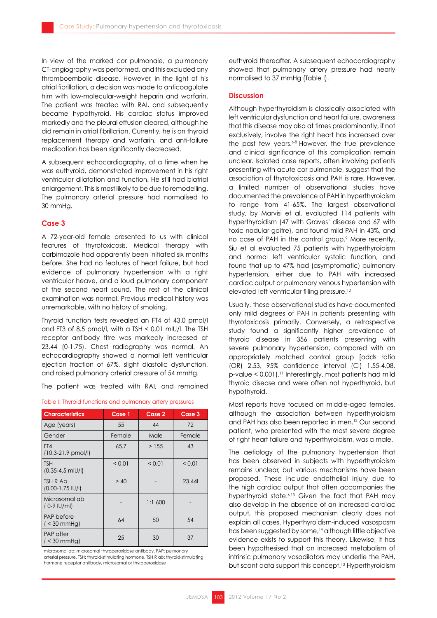In view of the marked cor pulmonale, a pulmonary CT-angiography was performed, and this excluded any thromboembolic disease. However, in the light of his atrial fibrillation, a decision was made to anticoagulate him with low-molecular-weight heparin and warfarin. The patient was treated with RAI, and subsequently became hypothyroid. His cardiac status improved markedly and the pleural effusion cleared, although he did remain in atrial fibrillation. Currently, he is on thyroid replacement therapy and warfarin, and anti-failure medication has been significantly decreased.

A subsequent echocardiography, at a time when he was euthyroid, demonstrated improvement in his right ventricular dilatation and function. He still had biatrial enlargement. This is most likely to be due to remodelling. The pulmonary arterial pressure had normalised to 30 mmHg.

# **Case 3**

A 72-year-old female presented to us with clinical features of thyrotoxicosis. Medical therapy with carbimazole had apparently been initiated six months before. She had no features of heart failure, but had evidence of pulmonary hypertension with a right ventricular heave, and a loud pulmonary component of the second heart sound. The rest of the clinical examination was normal. Previous medical history was unremarkable, with no history of smoking.

Thyroid function tests revealed an FT4 of 43.0 pmol/l and FT3 of 8.5 pmol/l, with a TSH  $<$  0.01 mIU/l. The TSH receptor antibody titre was markedly increased at 23.44 (0-1.75). Chest radiography was normal. An echocardiography showed a normal left ventricular ejection fraction of 67%, slight diastolic dysfunction, and raised pulmonary arterial pressure of 54 mmHg.

The patient was treated with RAI, and remained

| <b>Characteristics</b>              | Case 1      | Case 2      | Case 3      |
|-------------------------------------|-------------|-------------|-------------|
| Age (years)                         | 55          | 44          | 72          |
| Gender                              | Female      | Male        | Female      |
| FT4<br>$(10.3-21.9 \text{ pmol/l})$ | 65.7        | >155        | 43          |
| <b>TSH</b><br>$(0.35 - 4.5$ mlU/l)  | ${}_{0.01}$ | ${}_{0.01}$ | ${}_{0.01}$ |
| TSH R Ab<br>$(0.00 - 1.75$ IU/I)    | > 40        |             | 23.44       |
| Microsomal ab<br>(0-9 IU/ml)        |             | 1:1,600     |             |
| PAP before<br>$($ < 30 mmHg)        | 64          | 50          | 54          |
| <b>PAP</b> after<br>( < 30 mmHg)    | 25          | 30          | 37          |

Table I: Thyroid functions and pulmonary artery pressures

microsomal ab: microsomal thyroperoxidase antibody, PAP: pulmonary arterial pressure, TSH: thyroid-stimulating hormone, TSH R ab: thyroid-stimulating hormone receptor antibody, microsomal or thyroperoxidase

euthyroid thereafter. A subsequent echocardiography showed that pulmonary artery pressure had nearly normalised to 37 mmHg (Table I).

## **Discussion**

Although hyperthyroidism is classically associated with left ventricular dysfunction and heart failure, awareness that this disease may also at times predominantly, if not exclusively, involve the right heart has increased over the past few years.<sup>6-8</sup> However, the true prevalence and clinical significance of this complication remain unclear. Isolated case reports, often involving patients presenting with acute cor pulmonale, suggest that the association of thyrotoxicosis and PAH is rare. However, a limited number of observational studies have documented the prevalence of PAH in hyperthyroidism to range from 41-65%. The largest observational study, by Marvisi et al, evaluated 114 patients with hyperthyroidism (47 with Graves' disease and 67 with toxic nodular goitre), and found mild PAH in 43%, and no case of PAH in the control group.9 More recently, Siu et al evaluated 75 patients with hyperthyroidism and normal left ventricular systolic function, and found that up to 47% had (asymptomatic) pulmonary hypertension, either due to PAH with increased cardiac output or pulmonary venous hypertension with elevated left ventricular filling pressure.<sup>10</sup>

Usually, these observational studies have documented only mild degrees of PAH in patients presenting with thyrotoxicosis primarily. Conversely, a retrospective study found a significantly higher prevalence of thyroid disease in 356 patients presenting with severe pulmonary hypertension, compared with an appropriately matched control group [odds ratio (OR) 2.53, 95% confidence interval (CI) 1.55-4.08, p-value < 0.001).11 Interestingly, most patients had mild thyroid disease and were often not hyperthyroid, but hypothyroid.

Most reports have focused on middle-aged females, although the association between hyperthyroidism and PAH has also been reported in men.12 Our second patient, who presented with the most severe degree of right heart failure and hyperthyroidism, was a male.

The aetiology of the pulmonary hypertension that has been observed in subjects with hyperthyroidism remains unclear, but various mechanisms have been proposed. These include endothelial injury due to the high cardiac output that often accompanies the hyperthyroid state.<sup>6,13</sup> Given the fact that PAH may also develop in the absence of an increased cardiac output, this proposed mechanism clearly does not explain all cases. Hyperthyroidism-induced vasospasm has been suggested by some,<sup>14</sup> although little objective evidence exists to support this theory. Likewise, it has been hypothesised that an increased metabolism of intrinsic pulmonary vasodilators may underlie the PAH, but scant data support this concept.13 Hyperthyroidism